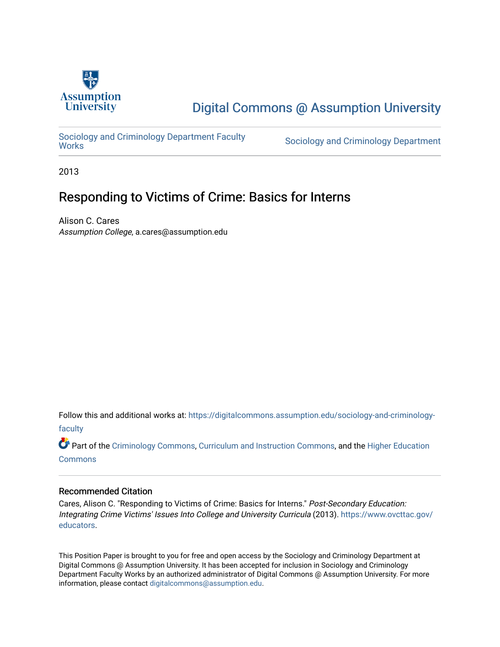

# [Digital Commons @ Assumption University](https://digitalcommons.assumption.edu/)

Sociology and Criminology Department Faculty<br>Works

Sociology and Criminology Department

2013

# Responding to Victims of Crime: Basics for Interns

Alison C. Cares Assumption College, a.cares@assumption.edu

Follow this and additional works at: [https://digitalcommons.assumption.edu/sociology-and-criminology](https://digitalcommons.assumption.edu/sociology-and-criminology-faculty?utm_source=digitalcommons.assumption.edu%2Fsociology-and-criminology-faculty%2F7&utm_medium=PDF&utm_campaign=PDFCoverPages)[faculty](https://digitalcommons.assumption.edu/sociology-and-criminology-faculty?utm_source=digitalcommons.assumption.edu%2Fsociology-and-criminology-faculty%2F7&utm_medium=PDF&utm_campaign=PDFCoverPages)

Part of the [Criminology Commons](http://network.bepress.com/hgg/discipline/417?utm_source=digitalcommons.assumption.edu%2Fsociology-and-criminology-faculty%2F7&utm_medium=PDF&utm_campaign=PDFCoverPages), [Curriculum and Instruction Commons,](http://network.bepress.com/hgg/discipline/786?utm_source=digitalcommons.assumption.edu%2Fsociology-and-criminology-faculty%2F7&utm_medium=PDF&utm_campaign=PDFCoverPages) and the [Higher Education](http://network.bepress.com/hgg/discipline/1245?utm_source=digitalcommons.assumption.edu%2Fsociology-and-criminology-faculty%2F7&utm_medium=PDF&utm_campaign=PDFCoverPages) [Commons](http://network.bepress.com/hgg/discipline/1245?utm_source=digitalcommons.assumption.edu%2Fsociology-and-criminology-faculty%2F7&utm_medium=PDF&utm_campaign=PDFCoverPages)

#### Recommended Citation

Cares, Alison C. "Responding to Victims of Crime: Basics for Interns." Post-Secondary Education: Integrating Crime Victims' Issues Into College and University Curricula (2013). [https://www.ovcttac.gov/](https://www.ovcttac.gov/EDUCATORS/) [educators.](https://www.ovcttac.gov/EDUCATORS/)

This Position Paper is brought to you for free and open access by the Sociology and Criminology Department at Digital Commons @ Assumption University. It has been accepted for inclusion in Sociology and Criminology Department Faculty Works by an authorized administrator of Digital Commons @ Assumption University. For more information, please contact [digitalcommons@assumption.edu.](mailto:digitalcommons@assumption.edu)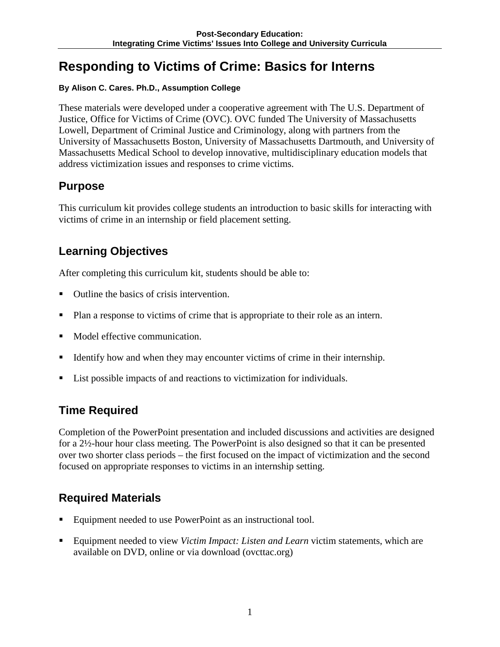# **Responding to Victims of Crime: Basics for Interns**

#### **By Alison C. Cares. Ph.D., Assumption College**

These materials were developed under a cooperative agreement with The U.S. Department of Justice, Office for Victims of Crime (OVC). OVC funded The University of Massachusetts Lowell, Department of Criminal Justice and Criminology, along with partners from the University of Massachusetts Boston, University of Massachusetts Dartmouth, and University of Massachusetts Medical School to develop innovative, multidisciplinary education models that address victimization issues and responses to crime victims.

## **Purpose**

This curriculum kit provides college students an introduction to basic skills for interacting with victims of crime in an internship or field placement setting.

# **Learning Objectives**

After completing this curriculum kit, students should be able to:

- Outline the basics of crisis intervention.
- Plan a response to victims of crime that is appropriate to their role as an intern.
- Model effective communication.
- Identify how and when they may encounter victims of crime in their internship.
- List possible impacts of and reactions to victimization for individuals.

# **Time Required**

Completion of the PowerPoint presentation and included discussions and activities are designed for a 2½-hour hour class meeting. The PowerPoint is also designed so that it can be presented over two shorter class periods – the first focused on the impact of victimization and the second focused on appropriate responses to victims in an internship setting.

# **Required Materials**

- Equipment needed to use PowerPoint as an instructional tool.
- Equipment needed to view *Victim Impact: Listen and Learn* victim statements, which are available on DVD, online or via download (ovcttac.org)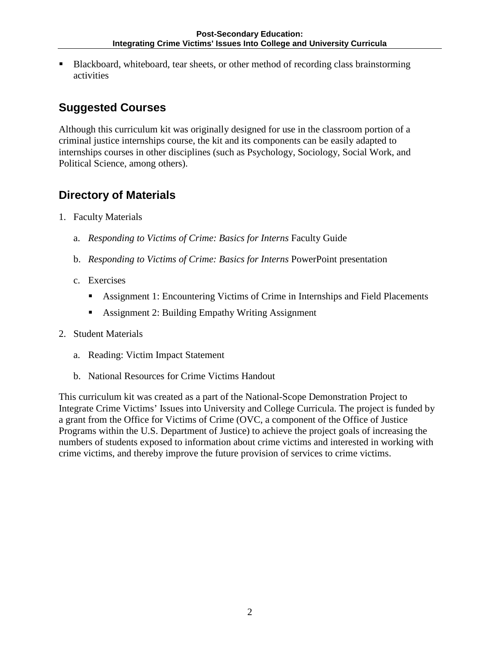Blackboard, whiteboard, tear sheets, or other method of recording class brainstorming activities

# **Suggested Courses**

Although this curriculum kit was originally designed for use in the classroom portion of a criminal justice internships course, the kit and its components can be easily adapted to internships courses in other disciplines (such as Psychology, Sociology, Social Work, and Political Science, among others).

## **Directory of Materials**

- 1. Faculty Materials
	- a. *Responding to Victims of Crime: Basics for Interns* Faculty Guide
	- b. *Responding to Victims of Crime: Basics for Interns* PowerPoint presentation
	- c. Exercises
		- Assignment 1: Encountering Victims of Crime in Internships and Field Placements
		- **Assignment 2: Building Empathy Writing Assignment**

#### 2. Student Materials

- a. Reading: Victim Impact Statement
- b. National Resources for Crime Victims Handout

This curriculum kit was created as a part of the National-Scope Demonstration Project to Integrate Crime Victims' Issues into University and College Curricula. The project is funded by a grant from the Office for Victims of Crime (OVC, a component of the Office of Justice Programs within the U.S. Department of Justice) to achieve the project goals of increasing the numbers of students exposed to information about crime victims and interested in working with crime victims, and thereby improve the future provision of services to crime victims.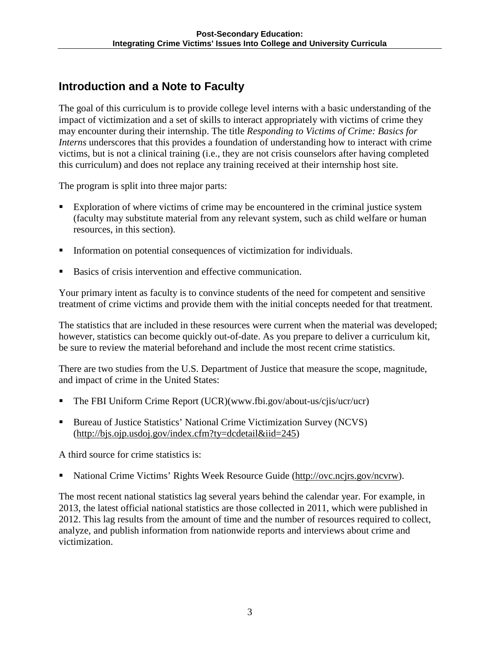## **Introduction and a Note to Faculty**

The goal of this curriculum is to provide college level interns with a basic understanding of the impact of victimization and a set of skills to interact appropriately with victims of crime they may encounter during their internship. The title *Responding to Victims of Crime: Basics for Interns* underscores that this provides a foundation of understanding how to interact with crime victims, but is not a clinical training (i.e., they are not crisis counselors after having completed this curriculum) and does not replace any training received at their internship host site.

The program is split into three major parts:

- Exploration of where victims of crime may be encountered in the criminal justice system (faculty may substitute material from any relevant system, such as child welfare or human resources, in this section).
- Information on potential consequences of victimization for individuals.
- Basics of crisis intervention and effective communication.

Your primary intent as faculty is to convince students of the need for competent and sensitive treatment of crime victims and provide them with the initial concepts needed for that treatment.

The statistics that are included in these resources were current when the material was developed; however, statistics can become quickly out-of-date. As you prepare to deliver a curriculum kit, be sure to review the material beforehand and include the most recent crime statistics.

There are two studies from the U.S. Department of Justice that measure the scope, magnitude, and impact of crime in the United States:

- The FBI Uniform Crime Report (UCR)(www.fbi.gov/about-us/cjis/ucr/ucr)
- Bureau of Justice Statistics' National Crime Victimization Survey (NCVS) [\(http://bjs.ojp.usdoj.gov/index.cfm?ty=dcdetail&iid=245\)](http://bjs.ojp.usdoj.gov/index.cfm?ty=dcdetail&iid=245)

A third source for crime statistics is:

National Crime Victims' Rights Week Resource Guide [\(http://ovc.ncjrs.gov/ncvrw\)](http://ovc.ncjrs.gov/ncvrw).

The most recent national statistics lag several years behind the calendar year. For example, in 2013, the latest official national statistics are those collected in 2011, which were published in 2012. This lag results from the amount of time and the number of resources required to collect, analyze, and publish information from nationwide reports and interviews about crime and victimization.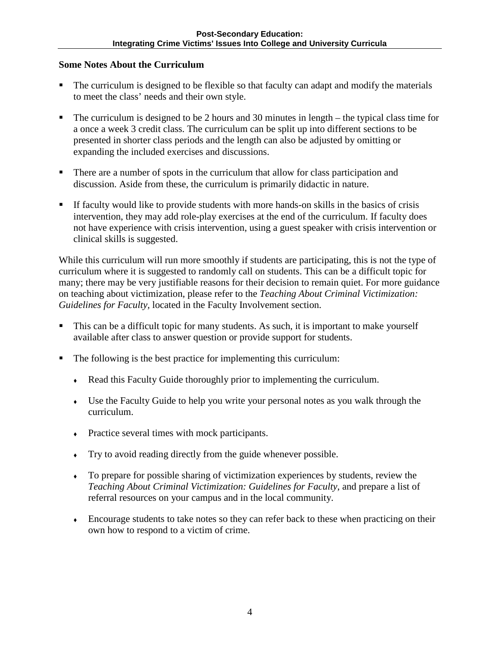#### **Some Notes About the Curriculum**

- The curriculum is designed to be flexible so that faculty can adapt and modify the materials to meet the class' needs and their own style.
- The curriculum is designed to be 2 hours and 30 minutes in length the typical class time for a once a week 3 credit class. The curriculum can be split up into different sections to be presented in shorter class periods and the length can also be adjusted by omitting or expanding the included exercises and discussions.
- There are a number of spots in the curriculum that allow for class participation and discussion. Aside from these, the curriculum is primarily didactic in nature.
- If faculty would like to provide students with more hands-on skills in the basics of crisis intervention, they may add role-play exercises at the end of the curriculum. If faculty does not have experience with crisis intervention, using a guest speaker with crisis intervention or clinical skills is suggested.

While this curriculum will run more smoothly if students are participating, this is not the type of curriculum where it is suggested to randomly call on students. This can be a difficult topic for many; there may be very justifiable reasons for their decision to remain quiet. For more guidance on teaching about victimization, please refer to the *Teaching About Criminal Victimization: Guidelines for Faculty,* located in the Faculty Involvement section.

- This can be a difficult topic for many students. As such, it is important to make yourself available after class to answer question or provide support for students.
- The following is the best practice for implementing this curriculum:
	- Read this Faculty Guide thoroughly prior to implementing the curriculum.
	- Use the Faculty Guide to help you write your personal notes as you walk through the curriculum.
	- Practice several times with mock participants.
	- Try to avoid reading directly from the guide whenever possible.
	- To prepare for possible sharing of victimization experiences by students, review the *Teaching About Criminal Victimization: Guidelines for Faculty*, and prepare a list of referral resources on your campus and in the local community.
	- Encourage students to take notes so they can refer back to these when practicing on their own how to respond to a victim of crime.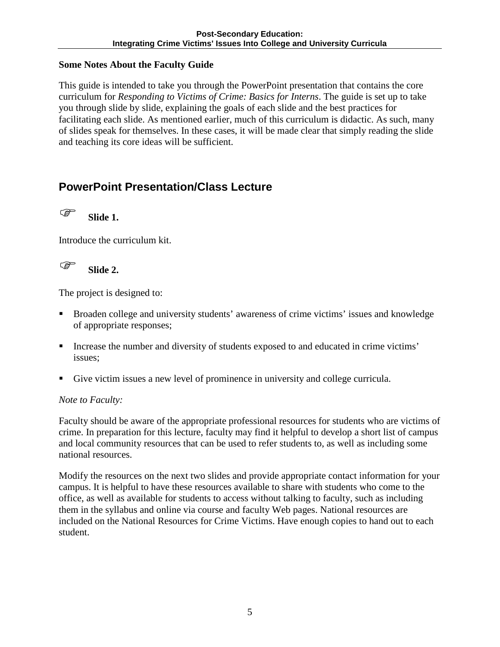#### **Some Notes About the Faculty Guide**

This guide is intended to take you through the PowerPoint presentation that contains the core curriculum for *Responding to Victims of Crime: Basics for Interns*. The guide is set up to take you through slide by slide, explaining the goals of each slide and the best practices for facilitating each slide. As mentioned earlier, much of this curriculum is didactic. As such, many of slides speak for themselves. In these cases, it will be made clear that simply reading the slide and teaching its core ideas will be sufficient.

## **PowerPoint Presentation/Class Lecture**

**Slide 1.** 

Introduce the curriculum kit.

**Slide 2.** 

The project is designed to:

- Broaden college and university students' awareness of crime victims' issues and knowledge of appropriate responses;
- Increase the number and diversity of students exposed to and educated in crime victims' issues;
- Give victim issues a new level of prominence in university and college curricula.

### *Note to Faculty:*

Faculty should be aware of the appropriate professional resources for students who are victims of crime. In preparation for this lecture, faculty may find it helpful to develop a short list of campus and local community resources that can be used to refer students to, as well as including some national resources.

Modify the resources on the next two slides and provide appropriate contact information for your campus. It is helpful to have these resources available to share with students who come to the office, as well as available for students to access without talking to faculty, such as including them in the syllabus and online via course and faculty Web pages. National resources are included on the National Resources for Crime Victims. Have enough copies to hand out to each student.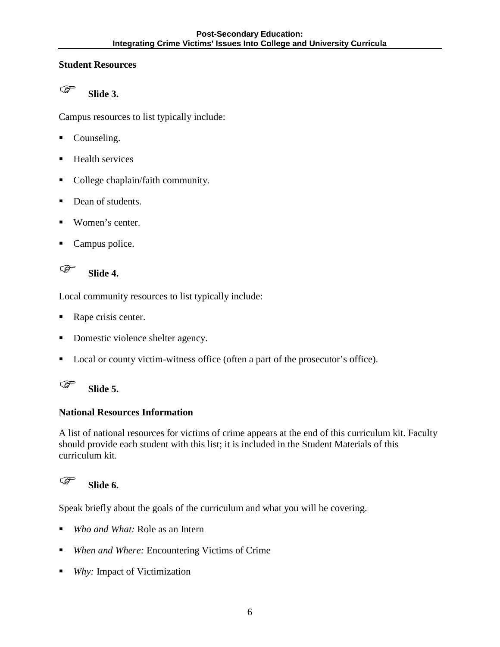#### **Student Resources**



Campus resources to list typically include:

- Counseling.
- Health services
- College chaplain/faith community.
- Dean of students.
- Women's center.
- Campus police.

**Slide 4.** 

Local community resources to list typically include:

- Rape crisis center.
- Domestic violence shelter agency.
- **Local or county victim-witness office (often a part of the prosecutor's office).**



### **National Resources Information**

A list of national resources for victims of crime appears at the end of this curriculum kit. Faculty should provide each student with this list; it is included in the Student Materials of this curriculum kit.

# **Slide 6.**

Speak briefly about the goals of the curriculum and what you will be covering.

- *Who and What:* Role as an Intern
- *When and Where:* Encountering Victims of Crime
- *Why:* Impact of Victimization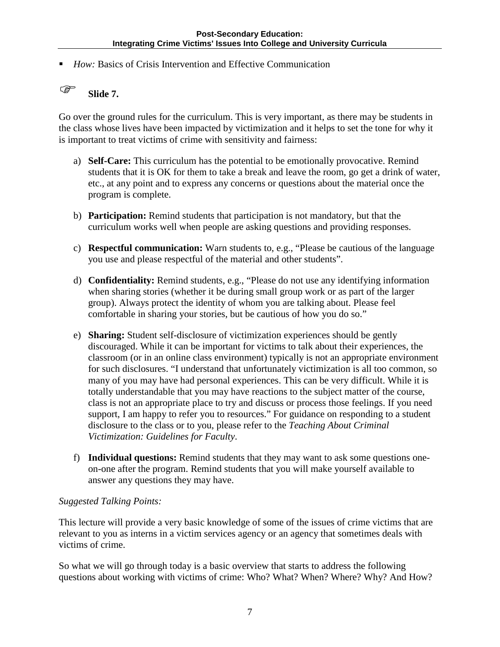■ *How:* Basics of Crisis Intervention and Effective Communication

## **Slide 7.**

Go over the ground rules for the curriculum. This is very important, as there may be students in the class whose lives have been impacted by victimization and it helps to set the tone for why it is important to treat victims of crime with sensitivity and fairness:

- a) **Self-Care:** This curriculum has the potential to be emotionally provocative. Remind students that it is OK for them to take a break and leave the room, go get a drink of water, etc., at any point and to express any concerns or questions about the material once the program is complete.
- b) **Participation:** Remind students that participation is not mandatory, but that the curriculum works well when people are asking questions and providing responses.
- c) **Respectful communication:** Warn students to, e.g., "Please be cautious of the language you use and please respectful of the material and other students".
- d) **Confidentiality:** Remind students, e.g., "Please do not use any identifying information when sharing stories (whether it be during small group work or as part of the larger group). Always protect the identity of whom you are talking about. Please feel comfortable in sharing your stories, but be cautious of how you do so."
- e) **Sharing:** Student self-disclosure of victimization experiences should be gently discouraged. While it can be important for victims to talk about their experiences, the classroom (or in an online class environment) typically is not an appropriate environment for such disclosures. "I understand that unfortunately victimization is all too common, so many of you may have had personal experiences. This can be very difficult. While it is totally understandable that you may have reactions to the subject matter of the course, class is not an appropriate place to try and discuss or process those feelings. If you need support, I am happy to refer you to resources." For guidance on responding to a student disclosure to the class or to you, please refer to the *Teaching About Criminal Victimization: Guidelines for Faculty*.
- f) **Individual questions:** Remind students that they may want to ask some questions oneon-one after the program. Remind students that you will make yourself available to answer any questions they may have.

#### *Suggested Talking Points:*

This lecture will provide a very basic knowledge of some of the issues of crime victims that are relevant to you as interns in a victim services agency or an agency that sometimes deals with victims of crime.

So what we will go through today is a basic overview that starts to address the following questions about working with victims of crime: Who? What? When? Where? Why? And How?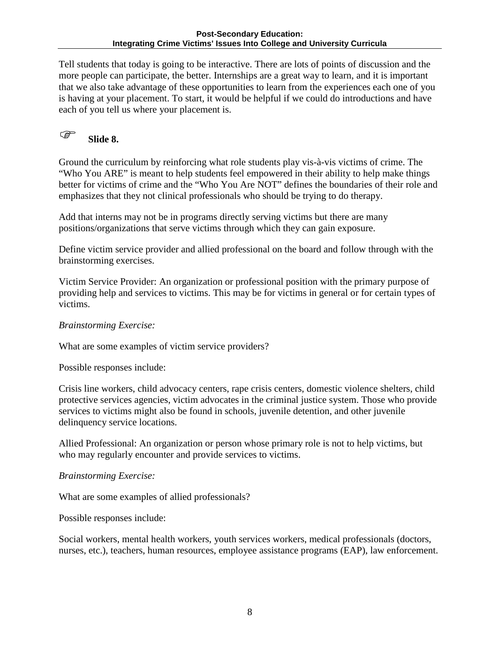#### **Post-Secondary Education: Integrating Crime Victims' Issues Into College and University Curricula**

Tell students that today is going to be interactive. There are lots of points of discussion and the more people can participate, the better. Internships are a great way to learn, and it is important that we also take advantage of these opportunities to learn from the experiences each one of you is having at your placement. To start, it would be helpful if we could do introductions and have each of you tell us where your placement is.



Ground the curriculum by reinforcing what role students play vis-à-vis victims of crime. The "Who You ARE" is meant to help students feel empowered in their ability to help make things better for victims of crime and the "Who You Are NOT" defines the boundaries of their role and emphasizes that they not clinical professionals who should be trying to do therapy.

Add that interns may not be in programs directly serving victims but there are many positions/organizations that serve victims through which they can gain exposure.

Define victim service provider and allied professional on the board and follow through with the brainstorming exercises.

Victim Service Provider: An organization or professional position with the primary purpose of providing help and services to victims. This may be for victims in general or for certain types of victims.

*Brainstorming Exercise:* 

What are some examples of victim service providers?

Possible responses include:

Crisis line workers, child advocacy centers, rape crisis centers, domestic violence shelters, child protective services agencies, victim advocates in the criminal justice system. Those who provide services to victims might also be found in schools, juvenile detention, and other juvenile delinquency service locations.

Allied Professional: An organization or person whose primary role is not to help victims, but who may regularly encounter and provide services to victims.

#### *Brainstorming Exercise:*

What are some examples of allied professionals?

Possible responses include:

Social workers, mental health workers, youth services workers, medical professionals (doctors, nurses, etc.), teachers, human resources, employee assistance programs (EAP), law enforcement.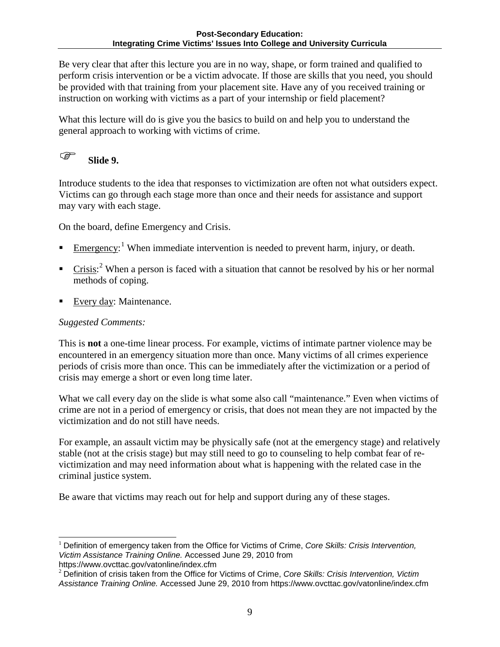Be very clear that after this lecture you are in no way, shape, or form trained and qualified to perform crisis intervention or be a victim advocate. If those are skills that you need, you should be provided with that training from your placement site. Have any of you received training or instruction on working with victims as a part of your internship or field placement?

What this lecture will do is give you the basics to build on and help you to understand the general approach to working with victims of crime.

## **Slide 9.**

Introduce students to the idea that responses to victimization are often not what outsiders expect. Victims can go through each stage more than once and their needs for assistance and support may vary with each stage.

On the board, define Emergency and Crisis.

- Emergency:<sup>[1](#page-9-0)</sup> When immediate intervention is needed to prevent harm, injury, or death.
- **Crisis:**<sup>[2](#page-9-1)</sup> When a person is faced with a situation that cannot be resolved by his or her normal methods of coping.
- Every day: Maintenance.

### *Suggested Comments:*

This is **not** a one-time linear process. For example, victims of intimate partner violence may be encountered in an emergency situation more than once. Many victims of all crimes experience periods of crisis more than once. This can be immediately after the victimization or a period of crisis may emerge a short or even long time later.

What we call every day on the slide is what some also call "maintenance." Even when victims of crime are not in a period of emergency or crisis, that does not mean they are not impacted by the victimization and do not still have needs.

For example, an assault victim may be physically safe (not at the emergency stage) and relatively stable (not at the crisis stage) but may still need to go to counseling to help combat fear of revictimization and may need information about what is happening with the related case in the criminal justice system.

Be aware that victims may reach out for help and support during any of these stages.

<span id="page-9-0"></span><sup>1</sup> Definition of emergency taken from the Office for Victims of Crime, *Core Skills: Crisis Intervention, Victim Assistance Training Online.* Accessed June 29, 2010 from j

https://www.ovcttac.gov/vatonline/index.cfm

<span id="page-9-1"></span><sup>2</sup> Definition of crisis taken from the Office for Victims of Crime, *Core Skills: Crisis Intervention, Victim Assistance Training Online.* Accessed June 29, 2010 from https://www.ovcttac.gov/vatonline/index.cfm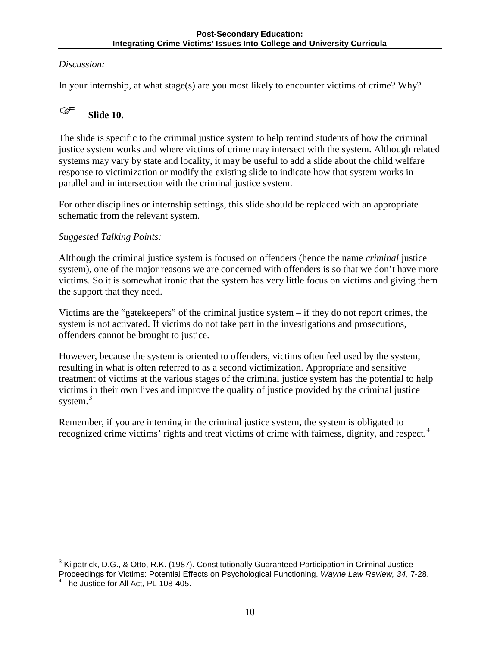#### *Discussion:*

In your internship, at what stage(s) are you most likely to encounter victims of crime? Why?

# **Slide 10.**

The slide is specific to the criminal justice system to help remind students of how the criminal justice system works and where victims of crime may intersect with the system. Although related systems may vary by state and locality, it may be useful to add a slide about the child welfare response to victimization or modify the existing slide to indicate how that system works in parallel and in intersection with the criminal justice system.

For other disciplines or internship settings, this slide should be replaced with an appropriate schematic from the relevant system.

#### *Suggested Talking Points:*

Although the criminal justice system is focused on offenders (hence the name *criminal* justice system), one of the major reasons we are concerned with offenders is so that we don't have more victims. So it is somewhat ironic that the system has very little focus on victims and giving them the support that they need.

Victims are the "gatekeepers" of the criminal justice system – if they do not report crimes, the system is not activated. If victims do not take part in the investigations and prosecutions, offenders cannot be brought to justice.

However, because the system is oriented to offenders, victims often feel used by the system, resulting in what is often referred to as a second victimization. Appropriate and sensitive treatment of victims at the various stages of the criminal justice system has the potential to help victims in their own lives and improve the quality of justice provided by the criminal justice system. $3$ 

Remember, if you are interning in the criminal justice system, the system is obligated to recognized crime victims' rights and treat victims of crime with fairness, dignity, and respect.<sup>[4](#page-10-1)</sup>

<span id="page-10-1"></span><span id="page-10-0"></span> $3$  Kilpatrick, D.G., & Otto, R.K. (1987). Constitutionally Guaranteed Participation in Criminal Justice Proceedings for Victims: Potential Effects on Psychological Functioning. *Wayne Law Review, 34, 7-28.* 4 The Justice for All Act, PL 108-405.  $\overline{a}$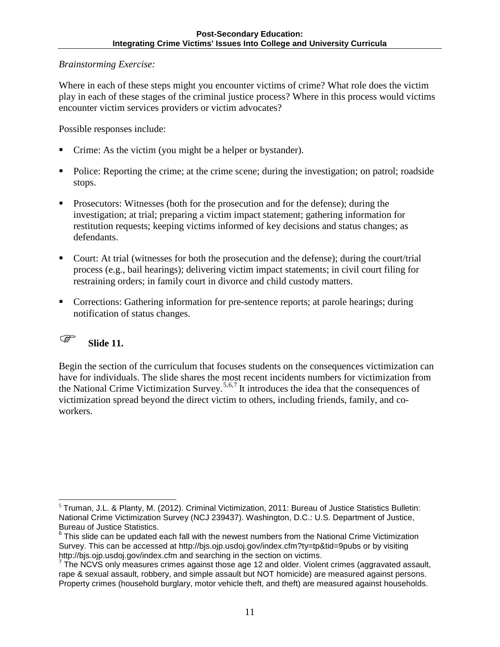#### *Brainstorming Exercise:*

Where in each of these steps might you encounter victims of crime? What role does the victim play in each of these stages of the criminal justice process? Where in this process would victims encounter victim services providers or victim advocates?

Possible responses include:

- Crime: As the victim (you might be a helper or bystander).
- Police: Reporting the crime; at the crime scene; during the investigation; on patrol; roadside stops.
- Prosecutors: Witnesses (both for the prosecution and for the defense); during the investigation; at trial; preparing a victim impact statement; gathering information for restitution requests; keeping victims informed of key decisions and status changes; as defendants.
- Court: At trial (witnesses for both the prosecution and the defense); during the court/trial process (e.g., bail hearings); delivering victim impact statements; in civil court filing for restraining orders; in family court in divorce and child custody matters.
- Corrections: Gathering information for pre-sentence reports; at parole hearings; during notification of status changes.

### **Slide 11.**

Begin the section of the curriculum that focuses students on the consequences victimization can have for individuals. The slide shares the most recent incidents numbers for victimization from the National Crime Victimization Survey.<sup>[5,](#page-11-0)[6](#page-11-1),[7](#page-11-2)</sup> It introduces the idea that the consequences of victimization spread beyond the direct victim to others, including friends, family, and coworkers.

<span id="page-11-0"></span><sup>5</sup> Truman, J.L. & Planty, M. (2012). Criminal Victimization, 2011: Bureau of Justice Statistics Bulletin: National Crime Victimization Survey (NCJ 239437). Washington, D.C.: U.S. Department of Justice, Bureau of Justice Statistics. -

<span id="page-11-1"></span> $6$  This slide can be updated each fall with the newest numbers from the National Crime Victimization Survey. This can be accessed at http://bjs.ojp.usdoj.gov/index.cfm?ty=tp&tid=9pubs or by visiting http://bjs.ojp.usdoj.gov/index.cfm and searching in the section on victims.<br><sup>7</sup> The NCVS only measures crimes against those age 12 and older. Violent crimes (aggravated assault,

<span id="page-11-2"></span>rape & sexual assault, robbery, and simple assault but NOT homicide) are measured against persons. Property crimes (household burglary, motor vehicle theft, and theft) are measured against households.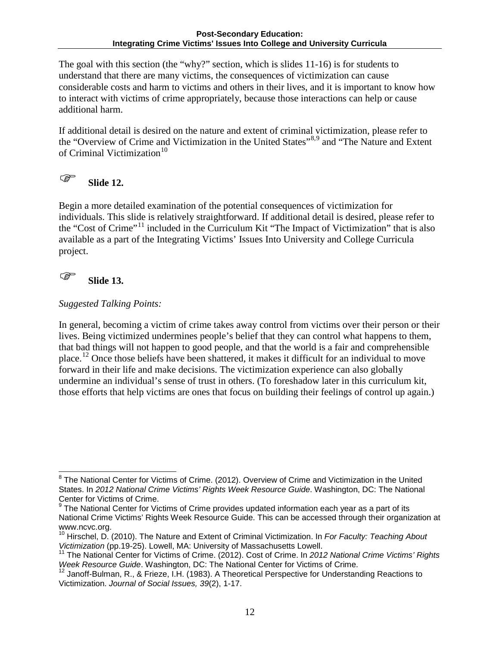The goal with this section (the "why?" section, which is slides 11-16) is for students to understand that there are many victims, the consequences of victimization can cause considerable costs and harm to victims and others in their lives, and it is important to know how to interact with victims of crime appropriately, because those interactions can help or cause additional harm.

If additional detail is desired on the nature and extent of criminal victimization, please refer to the "Overview of Crime and Victimization in the United States"<sup>[8,](#page-12-0)[9](#page-12-1)</sup> and "The Nature and Extent of Criminal Victimization $10$ 



Begin a more detailed examination of the potential consequences of victimization for individuals. This slide is relatively straightforward. If additional detail is desired, please refer to the "Cost of Crime"[11](#page-12-3) included in the Curriculum Kit "The Impact of Victimization" that is also available as a part of the Integrating Victims' Issues Into University and College Curricula project.

### **Slide 13.**

#### *Suggested Talking Points:*

In general, becoming a victim of crime takes away control from victims over their person or their lives. Being victimized undermines people's belief that they can control what happens to them, that bad things will not happen to good people, and that the world is a fair and comprehensible place.[12](#page-12-4) Once those beliefs have been shattered, it makes it difficult for an individual to move forward in their life and make decisions. The victimization experience can also globally undermine an individual's sense of trust in others. (To foreshadow later in this curriculum kit, those efforts that help victims are ones that focus on building their feelings of control up again.)

<span id="page-12-0"></span><sup>&</sup>lt;sup>8</sup> The National Center for Victims of Crime. (2012). Overview of Crime and Victimization in the United States. In *2012 National Crime Victims' Rights Week Resource Guide*. Washington, DC: The National Center for Victims of Crime.  $\overline{a}$ 

<span id="page-12-1"></span> $9$  The National Center for Victims of Crime provides updated information each year as a part of its National Crime Victims' Rights Week Resource Guide. This can be accessed through their organization at www.ncvc.org.

<span id="page-12-2"></span><sup>10</sup> Hirschel, D. (2010). The Nature and Extent of Criminal Victimization. In *For Faculty: Teaching About* 

<span id="page-12-3"></span>*Victimization* (pp.19-25). Lowell, MA: University of Massachusetts Lowell.<br><sup>11</sup> The National Center for Victims of Crime. (2012). Cost of Crime. In *2012 National Crime Victims' Rights Week Resource Guide*. Washington, DC

<span id="page-12-4"></span><sup>&</sup>lt;sup>12</sup> Janoff-Bulman, R., & Frieze, I.H. (1983). A Theoretical Perspective for Understanding Reactions to Victimization. *Journal of Social Issues, 39*(2), 1-17.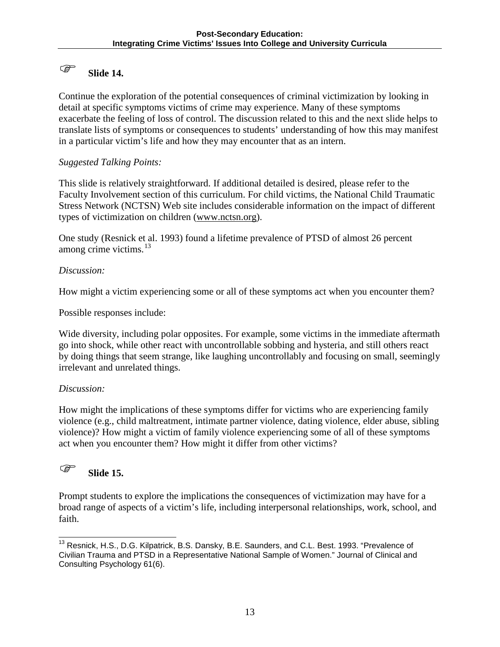### **Slide 14.**

Continue the exploration of the potential consequences of criminal victimization by looking in detail at specific symptoms victims of crime may experience. Many of these symptoms exacerbate the feeling of loss of control. The discussion related to this and the next slide helps to translate lists of symptoms or consequences to students' understanding of how this may manifest in a particular victim's life and how they may encounter that as an intern.

#### *Suggested Talking Points:*

This slide is relatively straightforward. If additional detailed is desired, please refer to the Faculty Involvement section of this curriculum. For child victims, the National Child Traumatic Stress Network (NCTSN) Web site includes considerable information on the impact of different types of victimization on children [\(www.nctsn.org\)](http://www.nctsn.org/).

One study (Resnick et al. 1993) found a lifetime prevalence of PTSD of almost 26 percent among crime victims. $^{13}$  $^{13}$  $^{13}$ 

#### *Discussion:*

How might a victim experiencing some or all of these symptoms act when you encounter them?

Possible responses include:

Wide diversity, including polar opposites. For example, some victims in the immediate aftermath go into shock, while other react with uncontrollable sobbing and hysteria, and still others react by doing things that seem strange, like laughing uncontrollably and focusing on small, seemingly irrelevant and unrelated things.

#### *Discussion:*

How might the implications of these symptoms differ for victims who are experiencing family violence (e.g., child maltreatment, intimate partner violence, dating violence, elder abuse, sibling violence)? How might a victim of family violence experiencing some of all of these symptoms act when you encounter them? How might it differ from other victims?

### **Slide 15.**

Prompt students to explore the implications the consequences of victimization may have for a broad range of aspects of a victim's life, including interpersonal relationships, work, school, and faith.

<span id="page-13-0"></span><sup>&</sup>lt;sup>13</sup> Resnick, H.S., D.G. Kilpatrick, B.S. Dansky, B.E. Saunders, and C.L. Best. 1993. "Prevalence of Civilian Trauma and PTSD in a Representative National Sample of Women." Journal of Clinical and Consulting Psychology 61(6). j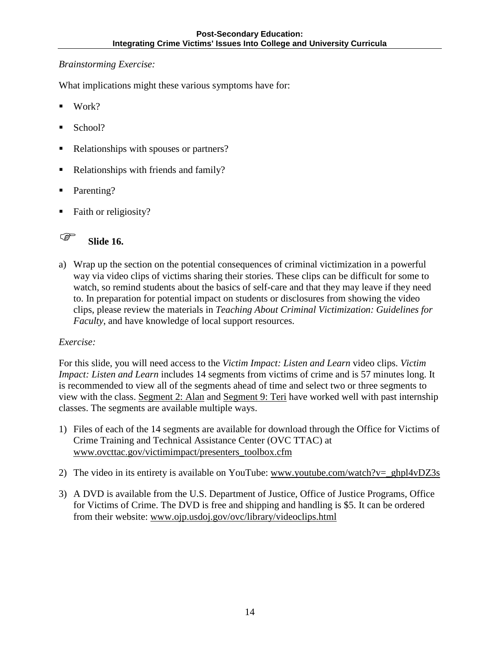#### *Brainstorming Exercise:*

What implications might these various symptoms have for:

- Work?
- School?
- Relationships with spouses or partners?
- Relationships with friends and family?
- Parenting?
- Faith or religiosity?

**Slide 16.** 

a) Wrap up the section on the potential consequences of criminal victimization in a powerful way via video clips of victims sharing their stories. These clips can be difficult for some to watch, so remind students about the basics of self-care and that they may leave if they need to. In preparation for potential impact on students or disclosures from showing the video clips, please review the materials in *Teaching About Criminal Victimization: Guidelines for Faculty*, and have knowledge of local support resources.

### *Exercise:*

For this slide, you will need access to the *Victim Impact: Listen and Learn* video clips. *Victim Impact: Listen and Learn* includes 14 segments from victims of crime and is 57 minutes long. It is recommended to view all of the segments ahead of time and select two or three segments to view with the class. Segment 2: Alan and Segment 9: Teri have worked well with past internship classes. The segments are available multiple ways.

- 1) Files of each of the 14 segments are available for download through the Office for Victims of Crime Training and Technical Assistance Center (OVC TTAC) at [www.ovcttac.gov/victimimpact/presenters\\_toolbox.cfm](http://www.ovcttac.gov/victimimpact/presenters_toolbox.cfm)
- 2) The video in its entirety is available on YouTube: www.youtube.com/watch?v= ghpl4vDZ3s
- 3) A DVD is available from the U.S. Department of Justice, Office of Justice Programs, Office for Victims of Crime. The DVD is free and shipping and handling is \$5. It can be ordered from their website: [www.ojp.usdoj.gov/ovc/library/videoclips.html](http://www.ojp.usdoj.gov/ovc/library/videoclips.html)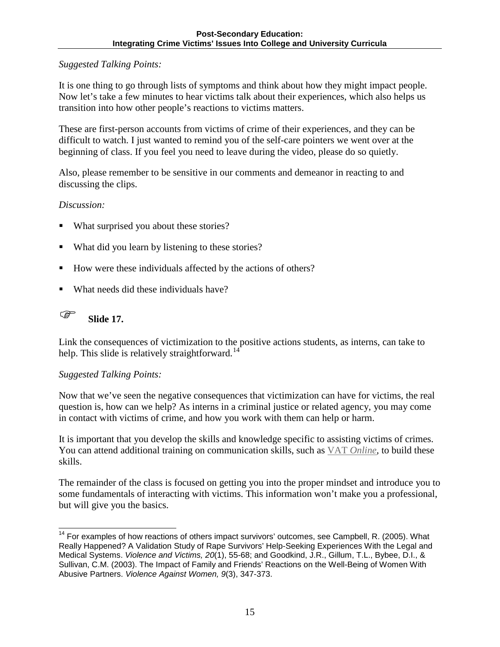### *Suggested Talking Points:*

It is one thing to go through lists of symptoms and think about how they might impact people. Now let's take a few minutes to hear victims talk about their experiences, which also helps us transition into how other people's reactions to victims matters.

These are first-person accounts from victims of crime of their experiences, and they can be difficult to watch. I just wanted to remind you of the self-care pointers we went over at the beginning of class. If you feel you need to leave during the video, please do so quietly.

Also, please remember to be sensitive in our comments and demeanor in reacting to and discussing the clips.

#### *Discussion:*

- What surprised you about these stories?
- What did you learn by listening to these stories?
- How were these individuals affected by the actions of others?
- What needs did these individuals have?



Link the consequences of victimization to the positive actions students, as interns, can take to help. This slide is relatively straightforward.<sup>[14](#page-15-0)</sup>

#### *Suggested Talking Points:*

Now that we've seen the negative consequences that victimization can have for victims, the real question is, how can we help? As interns in a criminal justice or related agency, you may come in contact with victims of crime, and how you work with them can help or harm.

It is important that you develop the skills and knowledge specific to assisting victims of crimes. You can attend additional training on communication skills, such as VAT *[Online,](https://www.ovcttac.gov/views/TrainingMaterials/dspOnline_VATOnline.cfm)* to build these skills.

The remainder of the class is focused on getting you into the proper mindset and introduce you to some fundamentals of interacting with victims. This information won't make you a professional, but will give you the basics.

<span id="page-15-0"></span><sup>&</sup>lt;sup>14</sup> For examples of how reactions of others impact survivors' outcomes, see Campbell, R. (2005). What Really Happened? A Validation Study of Rape Survivors' Help-Seeking Experiences With the Legal and Medical Systems. *Violence and Victims, 20*(1), 55-68; and Goodkind, J.R., Gillum, T.L., Bybee, D.I., & Sullivan, C.M. (2003). The Impact of Family and Friends' Reactions on the Well-Being of Women With Abusive Partners. *Violence Against Women, 9*(3), 347-373.  $\overline{\phantom{a}}$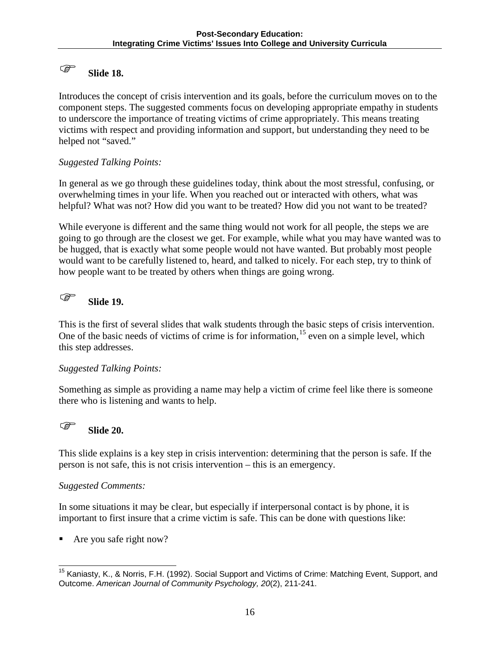### **Slide 18.**

Introduces the concept of crisis intervention and its goals, before the curriculum moves on to the component steps. The suggested comments focus on developing appropriate empathy in students to underscore the importance of treating victims of crime appropriately. This means treating victims with respect and providing information and support, but understanding they need to be helped not "saved."

#### *Suggested Talking Points:*

In general as we go through these guidelines today, think about the most stressful, confusing, or overwhelming times in your life. When you reached out or interacted with others, what was helpful? What was not? How did you want to be treated? How did you not want to be treated?

While everyone is different and the same thing would not work for all people, the steps we are going to go through are the closest we get. For example, while what you may have wanted was to be hugged, that is exactly what some people would not have wanted. But probably most people would want to be carefully listened to, heard, and talked to nicely. For each step, try to think of how people want to be treated by others when things are going wrong.

## **Slide 19.**

This is the first of several slides that walk students through the basic steps of crisis intervention. One of the basic needs of victims of crime is for information,  $15$  even on a simple level, which this step addresses.

#### *Suggested Talking Points:*

Something as simple as providing a name may help a victim of crime feel like there is someone there who is listening and wants to help.

### **Slide 20.**

This slide explains is a key step in crisis intervention: determining that the person is safe. If the person is not safe, this is not crisis intervention – this is an emergency.

#### *Suggested Comments:*

In some situations it may be clear, but especially if interpersonal contact is by phone, it is important to first insure that a crime victim is safe. This can be done with questions like:

Are you safe right now?

<span id="page-16-0"></span><sup>&</sup>lt;sup>15</sup> Kaniasty, K., & Norris, F.H. (1992). Social Support and Victims of Crime: Matching Event, Support, and Outcome. *American Journal of Community Psychology, 20*(2), 211-241.  $\overline{\phantom{a}}$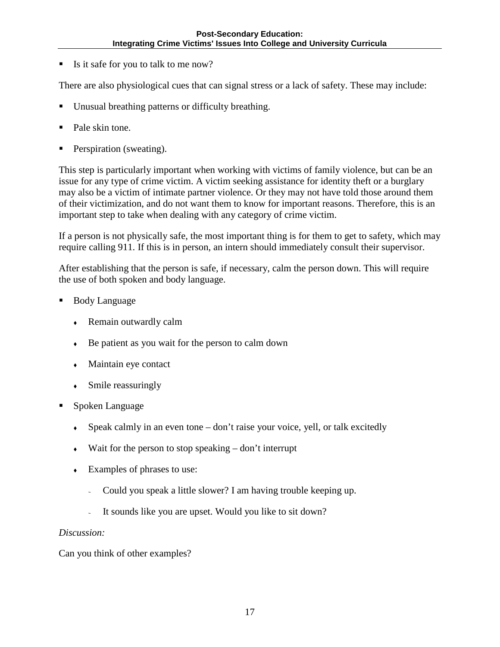Is it safe for you to talk to me now?

There are also physiological cues that can signal stress or a lack of safety. These may include:

- Unusual breathing patterns or difficulty breathing.
- Pale skin tone.
- Perspiration (sweating).

This step is particularly important when working with victims of family violence, but can be an issue for any type of crime victim. A victim seeking assistance for identity theft or a burglary may also be a victim of intimate partner violence. Or they may not have told those around them of their victimization, and do not want them to know for important reasons. Therefore, this is an important step to take when dealing with any category of crime victim.

If a person is not physically safe, the most important thing is for them to get to safety, which may require calling 911. If this is in person, an intern should immediately consult their supervisor.

After establishing that the person is safe, if necessary, calm the person down. This will require the use of both spoken and body language.

- Body Language
	- Remain outwardly calm
	- Be patient as you wait for the person to calm down
	- Maintain eye contact
	- Smile reassuringly
- Spoken Language
	- Speak calmly in an even tone don't raise your voice, yell, or talk excitedly
	- $\bullet$  Wait for the person to stop speaking don't interrupt
	- Examples of phrases to use:
		- <sup>∼</sup> Could you speak a little slower? I am having trouble keeping up.
		- It sounds like you are upset. Would you like to sit down?

#### *Discussion:*

Can you think of other examples?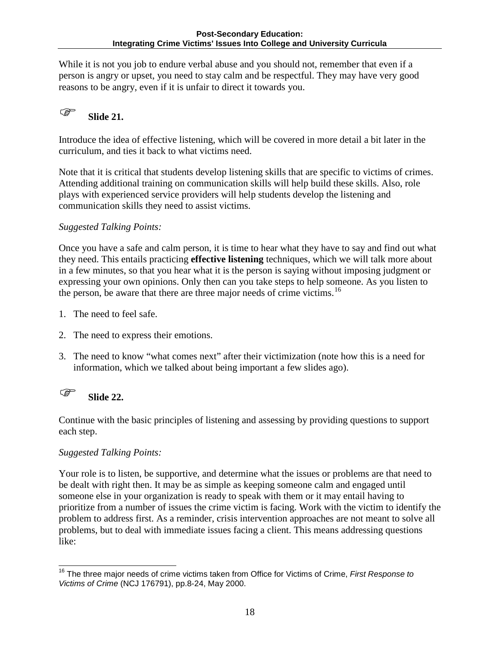While it is not you job to endure verbal abuse and you should not, remember that even if a person is angry or upset, you need to stay calm and be respectful. They may have very good reasons to be angry, even if it is unfair to direct it towards you.

# **Slide 21.**

Introduce the idea of effective listening, which will be covered in more detail a bit later in the curriculum, and ties it back to what victims need.

Note that it is critical that students develop listening skills that are specific to victims of crimes. Attending additional training on communication skills will help build these skills. Also, role plays with experienced service providers will help students develop the listening and communication skills they need to assist victims.

### *Suggested Talking Points:*

Once you have a safe and calm person, it is time to hear what they have to say and find out what they need. This entails practicing **effective listening** techniques, which we will talk more about in a few minutes, so that you hear what it is the person is saying without imposing judgment or expressing your own opinions. Only then can you take steps to help someone. As you listen to the person, be aware that there are three major needs of crime victims.<sup>16</sup>

- 1. The need to feel safe.
- 2. The need to express their emotions.
- 3. The need to know "what comes next" after their victimization (note how this is a need for information, which we talked about being important a few slides ago).

# **Slide 22.**

Continue with the basic principles of listening and assessing by providing questions to support each step.

### *Suggested Talking Points:*

Your role is to listen, be supportive, and determine what the issues or problems are that need to be dealt with right then. It may be as simple as keeping someone calm and engaged until someone else in your organization is ready to speak with them or it may entail having to prioritize from a number of issues the crime victim is facing. Work with the victim to identify the problem to address first. As a reminder, crisis intervention approaches are not meant to solve all problems, but to deal with immediate issues facing a client. This means addressing questions like:

<span id="page-18-0"></span><sup>16</sup> The three major needs of crime victims taken from Office for Victims of Crime, *First Response to Victims of Crime* (NCJ 176791), pp.8-24, May 2000.  $\overline{\phantom{a}}$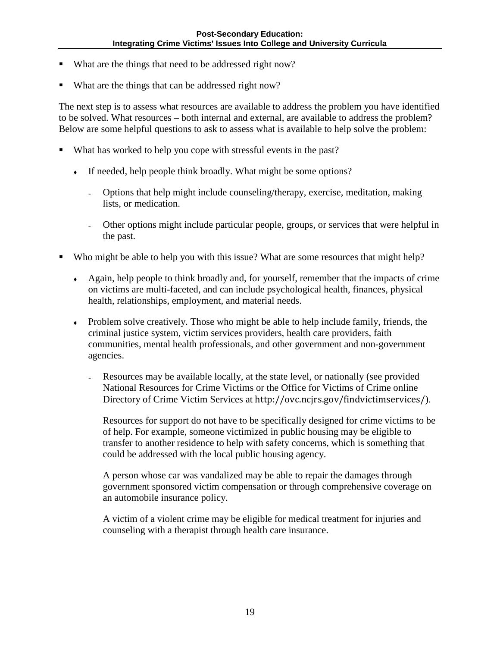- What are the things that need to be addressed right now?
- What are the things that can be addressed right now?

The next step is to assess what resources are available to address the problem you have identified to be solved. What resources – both internal and external, are available to address the problem? Below are some helpful questions to ask to assess what is available to help solve the problem:

- What has worked to help you cope with stressful events in the past?
	- If needed, help people think broadly. What might be some options?
		- <sup>∼</sup> Options that help might include counseling/therapy, exercise, meditation, making lists, or medication.
		- <sup>∼</sup> Other options might include particular people, groups, or services that were helpful in the past.
- Who might be able to help you with this issue? What are some resources that might help?
	- Again, help people to think broadly and, for yourself, remember that the impacts of crime on victims are multi-faceted, and can include psychological health, finances, physical health, relationships, employment, and material needs.
	- Problem solve creatively. Those who might be able to help include family, friends, the criminal justice system, victim services providers, health care providers, faith communities, mental health professionals, and other government and non-government agencies.
		- <sup>∼</sup> Resources may be available locally, at the state level, or nationally (see provided National Resources for Crime Victims or the Office for Victims of Crime online Directory of Crime Victim Services at <http://ovc.ncjrs.gov/findvictimservices/>).

Resources for support do not have to be specifically designed for crime victims to be of help. For example, someone victimized in public housing may be eligible to transfer to another residence to help with safety concerns, which is something that could be addressed with the local public housing agency.

A person whose car was vandalized may be able to repair the damages through government sponsored victim compensation or through comprehensive coverage on an automobile insurance policy.

A victim of a violent crime may be eligible for medical treatment for injuries and counseling with a therapist through health care insurance.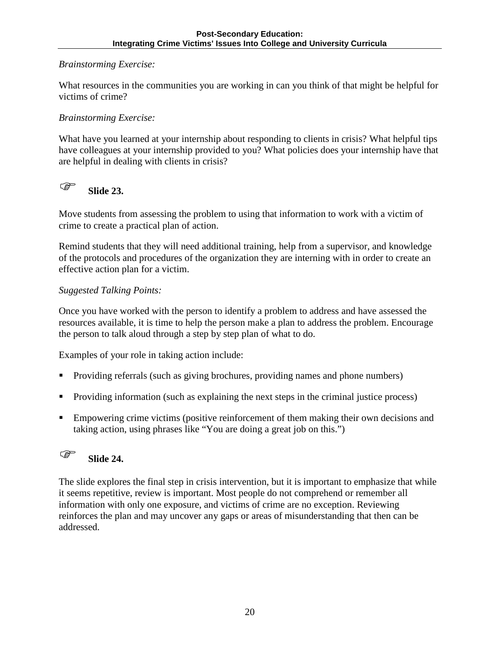#### *Brainstorming Exercise:*

What resources in the communities you are working in can you think of that might be helpful for victims of crime?

### *Brainstorming Exercise:*

What have you learned at your internship about responding to clients in crisis? What helpful tips have colleagues at your internship provided to you? What policies does your internship have that are helpful in dealing with clients in crisis?

# **Slide 23.**

Move students from assessing the problem to using that information to work with a victim of crime to create a practical plan of action.

Remind students that they will need additional training, help from a supervisor, and knowledge of the protocols and procedures of the organization they are interning with in order to create an effective action plan for a victim.

#### *Suggested Talking Points:*

Once you have worked with the person to identify a problem to address and have assessed the resources available, it is time to help the person make a plan to address the problem. Encourage the person to talk aloud through a step by step plan of what to do.

Examples of your role in taking action include:

- **Providing referrals (such as giving brochures, providing names and phone numbers)**
- Providing information (such as explaining the next steps in the criminal justice process)
- **Empowering crime victims (positive reinforcement of them making their own decisions and** taking action, using phrases like "You are doing a great job on this.")

# **Slide 24.**

The slide explores the final step in crisis intervention, but it is important to emphasize that while it seems repetitive, review is important. Most people do not comprehend or remember all information with only one exposure, and victims of crime are no exception. Reviewing reinforces the plan and may uncover any gaps or areas of misunderstanding that then can be addressed.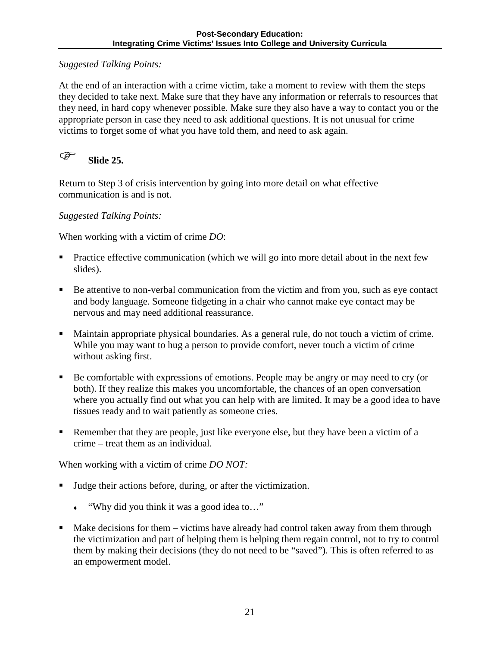#### *Suggested Talking Points:*

At the end of an interaction with a crime victim, take a moment to review with them the steps they decided to take next. Make sure that they have any information or referrals to resources that they need, in hard copy whenever possible. Make sure they also have a way to contact you or the appropriate person in case they need to ask additional questions. It is not unusual for crime victims to forget some of what you have told them, and need to ask again.

**Slide 25.** 

Return to Step 3 of crisis intervention by going into more detail on what effective communication is and is not.

*Suggested Talking Points:* 

When working with a victim of crime *DO*:

- Practice effective communication (which we will go into more detail about in the next few slides).
- Be attentive to non-verbal communication from the victim and from you, such as eye contact and body language. Someone fidgeting in a chair who cannot make eye contact may be nervous and may need additional reassurance.
- Maintain appropriate physical boundaries. As a general rule, do not touch a victim of crime. While you may want to hug a person to provide comfort, never touch a victim of crime without asking first.
- Be comfortable with expressions of emotions. People may be angry or may need to cry (or both). If they realize this makes you uncomfortable, the chances of an open conversation where you actually find out what you can help with are limited. It may be a good idea to have tissues ready and to wait patiently as someone cries.
- Remember that they are people, just like everyone else, but they have been a victim of a crime – treat them as an individual.

When working with a victim of crime *DO NOT:*

- Judge their actions before, during, or after the victimization.
	- "Why did you think it was a good idea to…"
- Make decisions for them victims have already had control taken away from them through the victimization and part of helping them is helping them regain control, not to try to control them by making their decisions (they do not need to be "saved"). This is often referred to as an empowerment model.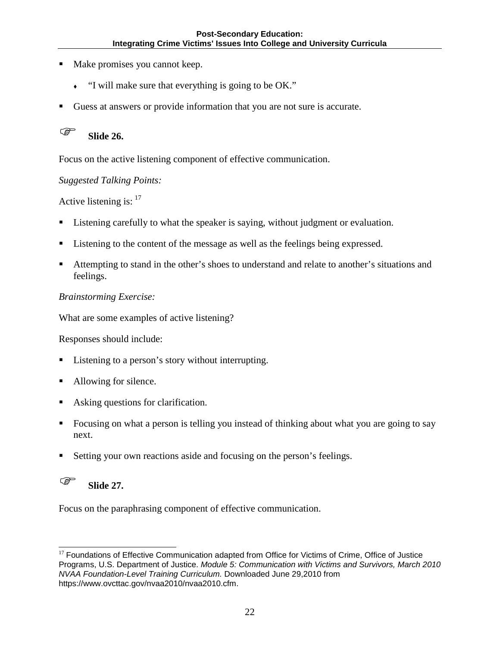- Make promises you cannot keep.
	- "I will make sure that everything is going to be OK."
- Guess at answers or provide information that you are not sure is accurate.



Focus on the active listening component of effective communication.

#### *Suggested Talking Points:*

Active listening is: <sup>[17](#page-22-0)</sup>

- Listening carefully to what the speaker is saying, without judgment or evaluation.
- Listening to the content of the message as well as the feelings being expressed.
- Attempting to stand in the other's shoes to understand and relate to another's situations and feelings.

#### *Brainstorming Exercise:*

What are some examples of active listening?

Responses should include:

- Listening to a person's story without interrupting.
- Allowing for silence.
- Asking questions for clarification.
- Focusing on what a person is telling you instead of thinking about what you are going to say next.
- Setting your own reactions aside and focusing on the person's feelings.

# **Slide 27.**

Focus on the paraphrasing component of effective communication.

<span id="page-22-0"></span><sup>&</sup>lt;sup>17</sup> Foundations of Effective Communication adapted from Office for Victims of Crime, Office of Justice Programs, U.S. Department of Justice. *Module 5: Communication with Victims and Survivors, March 2010 NVAA Foundation-Level Training Curriculum.* Downloaded June 29,2010 from https://www.ovcttac.gov/nvaa2010/nvaa2010.cfm. j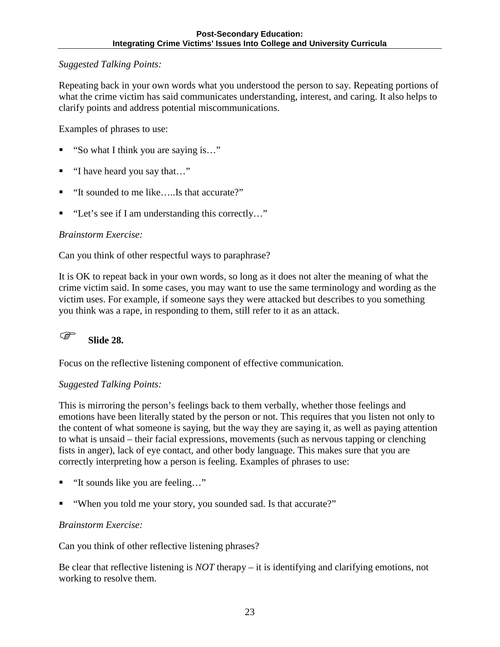#### *Suggested Talking Points:*

Repeating back in your own words what you understood the person to say. Repeating portions of what the crime victim has said communicates understanding, interest, and caring. It also helps to clarify points and address potential miscommunications.

Examples of phrases to use:

- "So what I think you are saying is…"
- "I have heard you say that…"
- "It sounded to me like…..Is that accurate?"
- "Let's see if I am understanding this correctly..."

#### *Brainstorm Exercise:*

Can you think of other respectful ways to paraphrase?

It is OK to repeat back in your own words, so long as it does not alter the meaning of what the crime victim said. In some cases, you may want to use the same terminology and wording as the victim uses. For example, if someone says they were attacked but describes to you something you think was a rape, in responding to them, still refer to it as an attack.

# **Slide 28.**

Focus on the reflective listening component of effective communication.

#### *Suggested Talking Points:*

This is mirroring the person's feelings back to them verbally, whether those feelings and emotions have been literally stated by the person or not. This requires that you listen not only to the content of what someone is saying, but the way they are saying it, as well as paying attention to what is unsaid – their facial expressions, movements (such as nervous tapping or clenching fists in anger), lack of eye contact, and other body language. This makes sure that you are correctly interpreting how a person is feeling. Examples of phrases to use:

- "It sounds like you are feeling…"
- "When you told me your story, you sounded sad. Is that accurate?"

#### *Brainstorm Exercise:*

Can you think of other reflective listening phrases?

Be clear that reflective listening is *NOT* therapy – it is identifying and clarifying emotions, not working to resolve them.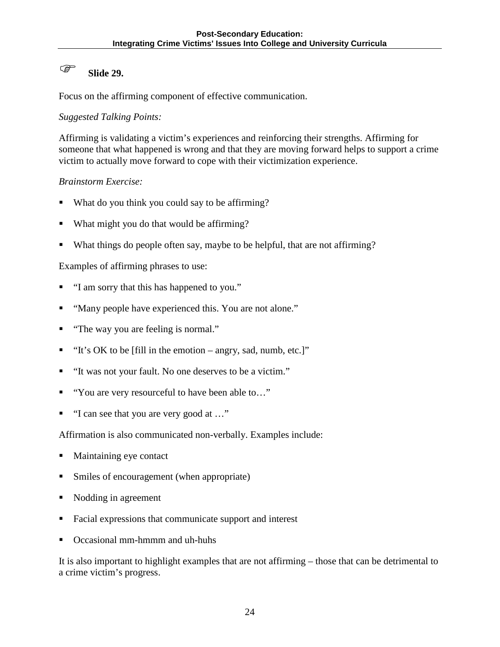## **Slide 29.**

Focus on the affirming component of effective communication.

*Suggested Talking Points:* 

Affirming is validating a victim's experiences and reinforcing their strengths. Affirming for someone that what happened is wrong and that they are moving forward helps to support a crime victim to actually move forward to cope with their victimization experience.

#### *Brainstorm Exercise:*

- What do you think you could say to be affirming?
- What might you do that would be affirming?
- What things do people often say, maybe to be helpful, that are not affirming?

#### Examples of affirming phrases to use:

- "I am sorry that this has happened to you."
- "Many people have experienced this. You are not alone."
- "The way you are feeling is normal."
- $\blacksquare$  "It's OK to be [fill in the emotion angry, sad, numb, etc.]"
- "It was not your fault. No one deserves to be a victim."
- "You are very resourceful to have been able to…"
- "I can see that you are very good at …"

Affirmation is also communicated non-verbally. Examples include:

- **Maintaining eye contact**
- Smiles of encouragement (when appropriate)
- Nodding in agreement
- Facial expressions that communicate support and interest
- Occasional mm-hmmm and uh-huhs

It is also important to highlight examples that are not affirming – those that can be detrimental to a crime victim's progress.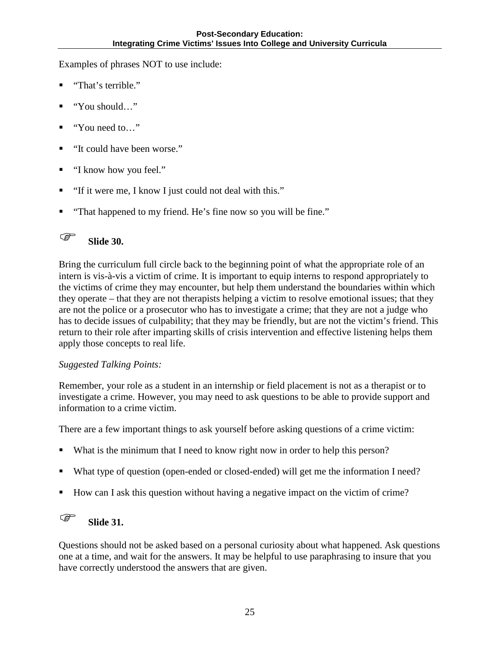Examples of phrases NOT to use include:

- "That's terrible."
- "You should…"
- "You need to…"
- "It could have been worse."
- "I know how you feel."
- "If it were me, I know I just could not deal with this."
- "That happened to my friend. He's fine now so you will be fine."

## **Slide 30.**

Bring the curriculum full circle back to the beginning point of what the appropriate role of an intern is vis-à-vis a victim of crime. It is important to equip interns to respond appropriately to the victims of crime they may encounter, but help them understand the boundaries within which they operate – that they are not therapists helping a victim to resolve emotional issues; that they are not the police or a prosecutor who has to investigate a crime; that they are not a judge who has to decide issues of culpability; that they may be friendly, but are not the victim's friend. This return to their role after imparting skills of crisis intervention and effective listening helps them apply those concepts to real life.

#### *Suggested Talking Points:*

Remember, your role as a student in an internship or field placement is not as a therapist or to investigate a crime. However, you may need to ask questions to be able to provide support and information to a crime victim.

There are a few important things to ask yourself before asking questions of a crime victim:

- What is the minimum that I need to know right now in order to help this person?
- What type of question (open-ended or closed-ended) will get me the information I need?
- How can I ask this question without having a negative impact on the victim of crime?

# **Slide 31.**

Questions should not be asked based on a personal curiosity about what happened. Ask questions one at a time, and wait for the answers. It may be helpful to use paraphrasing to insure that you have correctly understood the answers that are given.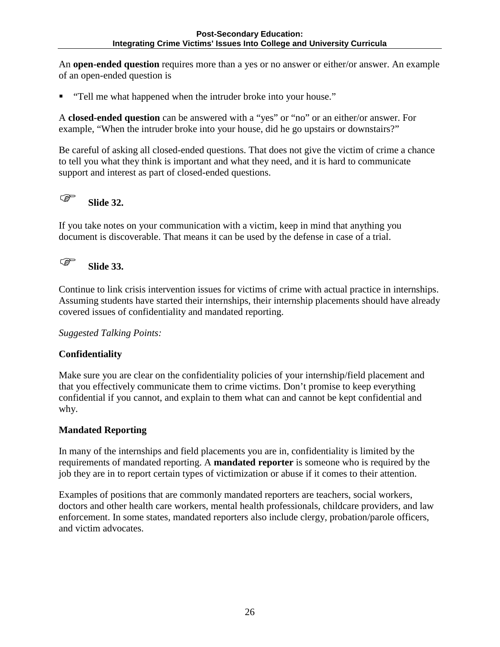An **open-ended question** requires more than a yes or no answer or either/or answer. An example of an open-ended question is

"Tell me what happened when the intruder broke into your house."

A **closed-ended question** can be answered with a "yes" or "no" or an either/or answer. For example, "When the intruder broke into your house, did he go upstairs or downstairs?"

Be careful of asking all closed-ended questions. That does not give the victim of crime a chance to tell you what they think is important and what they need, and it is hard to communicate support and interest as part of closed-ended questions.

# **Slide 32.**

If you take notes on your communication with a victim, keep in mind that anything you document is discoverable. That means it can be used by the defense in case of a trial.

## **Slide 33.**

Continue to link crisis intervention issues for victims of crime with actual practice in internships. Assuming students have started their internships, their internship placements should have already covered issues of confidentiality and mandated reporting.

*Suggested Talking Points:* 

#### **Confidentiality**

Make sure you are clear on the confidentiality policies of your internship/field placement and that you effectively communicate them to crime victims. Don't promise to keep everything confidential if you cannot, and explain to them what can and cannot be kept confidential and why.

#### **Mandated Reporting**

In many of the internships and field placements you are in, confidentiality is limited by the requirements of mandated reporting. A **mandated reporter** is someone who is required by the job they are in to report certain types of victimization or abuse if it comes to their attention.

Examples of positions that are commonly mandated reporters are teachers, social workers, doctors and other health care workers, mental health professionals, childcare providers, and law enforcement. In some states, mandated reporters also include clergy, probation/parole officers, and victim advocates.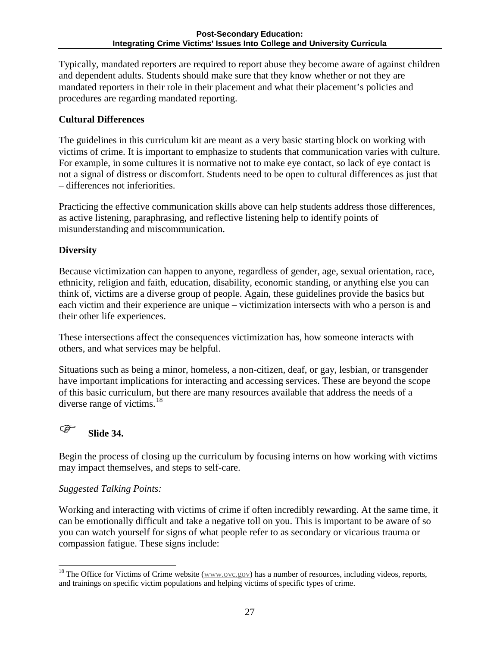Typically, mandated reporters are required to report abuse they become aware of against children and dependent adults. Students should make sure that they know whether or not they are mandated reporters in their role in their placement and what their placement's policies and procedures are regarding mandated reporting.

### **Cultural Differences**

The guidelines in this curriculum kit are meant as a very basic starting block on working with victims of crime. It is important to emphasize to students that communication varies with culture. For example, in some cultures it is normative not to make eye contact, so lack of eye contact is not a signal of distress or discomfort. Students need to be open to cultural differences as just that – differences not inferiorities.

Practicing the effective communication skills above can help students address those differences, as active listening, paraphrasing, and reflective listening help to identify points of misunderstanding and miscommunication.

### **Diversity**

Because victimization can happen to anyone, regardless of gender, age, sexual orientation, race, ethnicity, religion and faith, education, disability, economic standing, or anything else you can think of, victims are a diverse group of people. Again, these guidelines provide the basics but each victim and their experience are unique – victimization intersects with who a person is and their other life experiences.

These intersections affect the consequences victimization has, how someone interacts with others, and what services may be helpful.

Situations such as being a minor, homeless, a non-citizen, deaf, or gay, lesbian, or transgender have important implications for interacting and accessing services. These are beyond the scope of this basic curriculum, but there are many resources available that address the needs of a diverse range of victims. $18$ 

### **Slide 34.**

Begin the process of closing up the curriculum by focusing interns on how working with victims may impact themselves, and steps to self-care.

### *Suggested Talking Points:*

Working and interacting with victims of crime if often incredibly rewarding. At the same time, it can be emotionally difficult and take a negative toll on you. This is important to be aware of so you can watch yourself for signs of what people refer to as secondary or vicarious trauma or compassion fatigue. These signs include:

<span id="page-27-0"></span><sup>&</sup>lt;sup>18</sup> The Office for Victims of Crime website ( $\frac{www.ovc.gov}{www.ovc.gov}$ ) has a number of resources, including videos, reports, and trainings on specific victim populations and helping victims of specific types of crime.  $\overline{a}$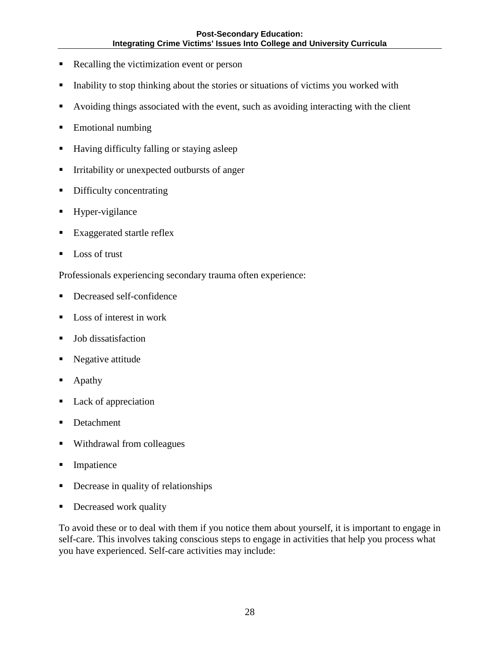- Recalling the victimization event or person
- Inability to stop thinking about the stories or situations of victims you worked with
- Avoiding things associated with the event, such as avoiding interacting with the client
- **Emotional numbing**
- Having difficulty falling or staying asleep
- Irritability or unexpected outbursts of anger
- Difficulty concentrating
- Hyper-vigilance
- **Exaggerated startle reflex**
- Loss of trust

Professionals experiencing secondary trauma often experience:

- Decreased self-confidence
- Loss of interest in work
- Job dissatisfaction
- Negative attitude
- Apathy
- Lack of appreciation
- **Detachment**
- Withdrawal from colleagues
- **Impatience**
- Decrease in quality of relationships
- **Decreased work quality**

To avoid these or to deal with them if you notice them about yourself, it is important to engage in self-care. This involves taking conscious steps to engage in activities that help you process what you have experienced. Self-care activities may include: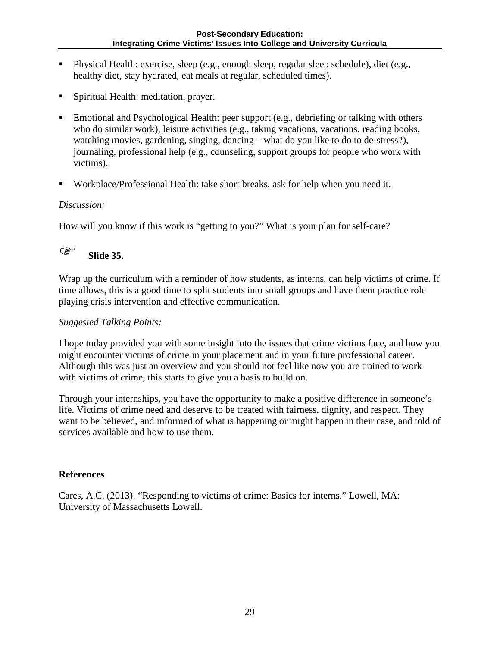- Physical Health: exercise, sleep (e.g., enough sleep, regular sleep schedule), diet (e.g., healthy diet, stay hydrated, eat meals at regular, scheduled times).
- Spiritual Health: meditation, prayer.
- Emotional and Psychological Health: peer support (e.g., debriefing or talking with others who do similar work), leisure activities (e.g., taking vacations, vacations, reading books, watching movies, gardening, singing, dancing – what do you like to do to de-stress?), journaling, professional help (e.g., counseling, support groups for people who work with victims).
- Workplace/Professional Health: take short breaks, ask for help when you need it.

#### *Discussion:*

How will you know if this work is "getting to you?" What is your plan for self-care?

## **Slide 35.**

Wrap up the curriculum with a reminder of how students, as interns, can help victims of crime. If time allows, this is a good time to split students into small groups and have them practice role playing crisis intervention and effective communication.

#### *Suggested Talking Points:*

I hope today provided you with some insight into the issues that crime victims face, and how you might encounter victims of crime in your placement and in your future professional career. Although this was just an overview and you should not feel like now you are trained to work with victims of crime, this starts to give you a basis to build on.

Through your internships, you have the opportunity to make a positive difference in someone's life. Victims of crime need and deserve to be treated with fairness, dignity, and respect. They want to be believed, and informed of what is happening or might happen in their case, and told of services available and how to use them.

#### **References**

Cares, A.C. (2013). "Responding to victims of crime: Basics for interns." Lowell, MA: University of Massachusetts Lowell.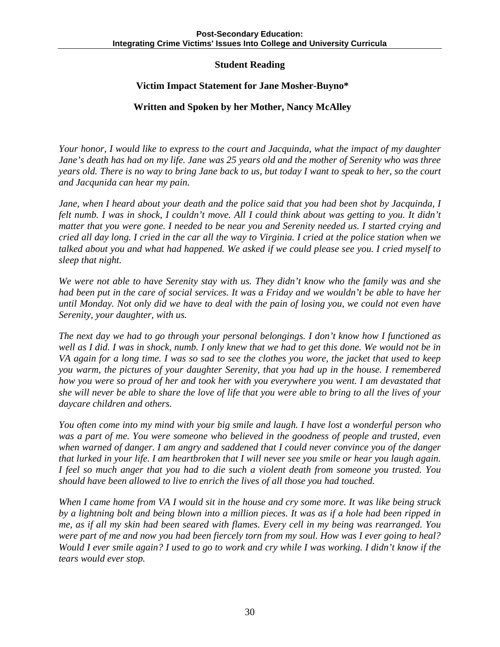#### **Student Reading**

#### **Victim Impact Statement for Jane Mosher-Buyno\***

#### **Written and Spoken by her Mother, Nancy McAlley**

*Your honor, I would like to express to the court and Jacquinda, what the impact of my daughter Jane's death has had on my life. Jane was 25 years old and the mother of Serenity who was three years old. There is no way to bring Jane back to us, but today I want to speak to her, so the court and Jacqunida can hear my pain.* 

*Jane, when I heard about your death and the police said that you had been shot by Jacquinda, I felt numb. I was in shock, I couldn't move. All I could think about was getting to you. It didn't matter that you were gone. I needed to be near you and Serenity needed us. I started crying and cried all day long. I cried in the car all the way to Virginia. I cried at the police station when we talked about you and what had happened. We asked if we could please see you. I cried myself to sleep that night.* 

*We were not able to have Serenity stay with us. They didn't know who the family was and she had been put in the care of social services. It was a Friday and we wouldn't be able to have her until Monday. Not only did we have to deal with the pain of losing you, we could not even have Serenity, your daughter, with us.* 

*The next day we had to go through your personal belongings. I don't know how I functioned as well as I did. I was in shock, numb. I only knew that we had to get this done. We would not be in VA again for a long time. I was so sad to see the clothes you wore, the jacket that used to keep you warm, the pictures of your daughter Serenity, that you had up in the house. I remembered how you were so proud of her and took her with you everywhere you went. I am devastated that she will never be able to share the love of life that you were able to bring to all the lives of your daycare children and others.* 

*You often come into my mind with your big smile and laugh. I have lost a wonderful person who was a part of me. You were someone who believed in the goodness of people and trusted, even when warned of danger. I am angry and saddened that I could never convince you of the danger that lurked in your life. I am heartbroken that I will never see you smile or hear you laugh again. I feel so much anger that you had to die such a violent death from someone you trusted. You should have been allowed to live to enrich the lives of all those you had touched.* 

*When I came home from VA I would sit in the house and cry some more. It was like being struck by a lightning bolt and being blown into a million pieces. It was as if a hole had been ripped in me, as if all my skin had been seared with flames. Every cell in my being was rearranged. You were part of me and now you had been fiercely torn from my soul. How was I ever going to heal? Would I ever smile again? I used to go to work and cry while I was working. I didn't know if the tears would ever stop.*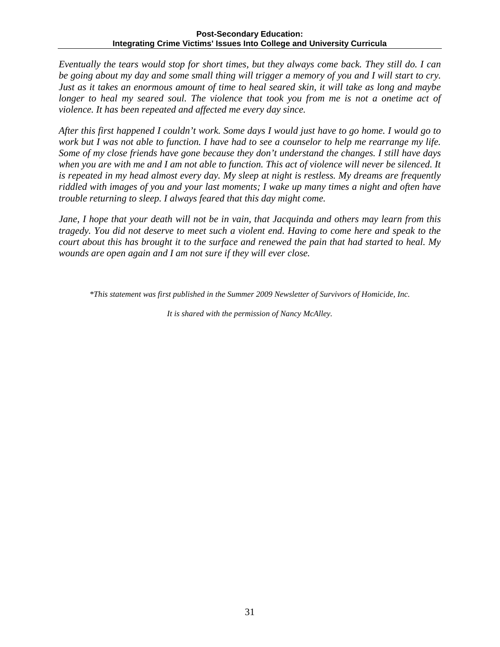*Eventually the tears would stop for short times, but they always come back. They still do. I can be going about my day and some small thing will trigger a memory of you and I will start to cry. Just as it takes an enormous amount of time to heal seared skin, it will take as long and maybe longer to heal my seared soul. The violence that took you from me is not a onetime act of violence. It has been repeated and affected me every day since.* 

*After this first happened I couldn't work. Some days I would just have to go home. I would go to work but I was not able to function. I have had to see a counselor to help me rearrange my life. Some of my close friends have gone because they don't understand the changes. I still have days when you are with me and I am not able to function. This act of violence will never be silenced. It is repeated in my head almost every day. My sleep at night is restless. My dreams are frequently riddled with images of you and your last moments; I wake up many times a night and often have trouble returning to sleep. I always feared that this day might come.*

*Jane, I hope that your death will not be in vain, that Jacquinda and others may learn from this tragedy. You did not deserve to meet such a violent end. Having to come here and speak to the court about this has brought it to the surface and renewed the pain that had started to heal. My wounds are open again and I am not sure if they will ever close.*

*\*This statement was first published in the Summer 2009 Newsletter of Survivors of Homicide, Inc.* 

*It is shared with the permission of Nancy McAlley.*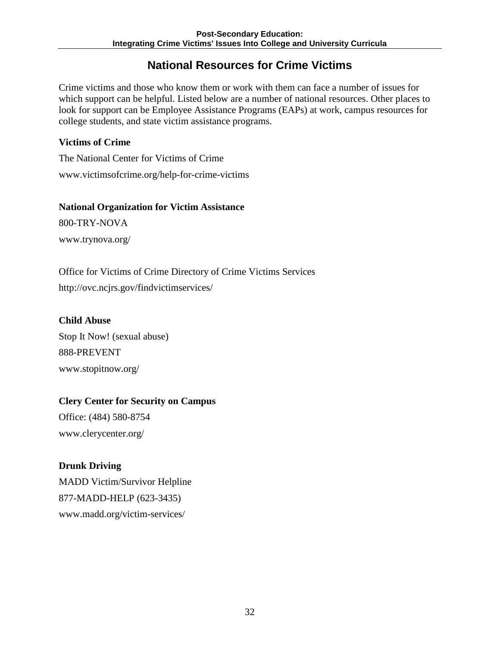### **National Resources for Crime Victims**

Crime victims and those who know them or work with them can face a number of issues for which support can be helpful. Listed below are a number of national resources. Other places to look for support can be Employee Assistance Programs (EAPs) at work, campus resources for college students, and state victim assistance programs.

#### **Victims of Crime**

The National Center for Victims of Crime www.victimsofcrime.org/help-for-crime-victims

#### **National Organization for Victim Assistance**

800-TRY-NOVA www.trynova.org/

Office for Victims of Crime Directory of Crime Victims Services http://ovc.ncjrs.gov/findvictimservices/

### **Child Abuse**

Stop It Now! (sexual abuse) 888-PREVENT www.stopitnow.org/

### **Clery Center for Security on Campus**

Office: (484) 580-8754 www.clerycenter.org/

### **Drunk Driving**

MADD Victim/Survivor Helpline 877-MADD-HELP (623-3435) www.madd.org/victim-services/